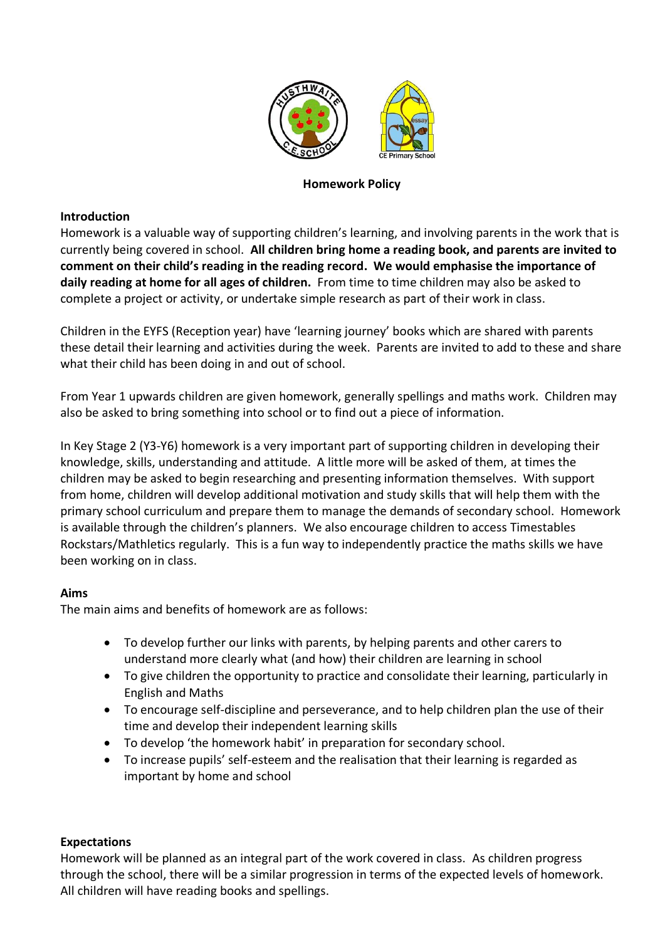

# **Homework Policy**

### **Introduction**

Homework is a valuable way of supporting children's learning, and involving parents in the work that is currently being covered in school. **All children bring home a reading book, and parents are invited to comment on their child's reading in the reading record. We would emphasise the importance of daily reading at home for all ages of children.** From time to time children may also be asked to complete a project or activity, or undertake simple research as part of their work in class.

Children in the EYFS (Reception year) have 'learning journey' books which are shared with parents these detail their learning and activities during the week. Parents are invited to add to these and share what their child has been doing in and out of school.

From Year 1 upwards children are given homework, generally spellings and maths work. Children may also be asked to bring something into school or to find out a piece of information.

In Key Stage 2 (Y3-Y6) homework is a very important part of supporting children in developing their knowledge, skills, understanding and attitude. A little more will be asked of them, at times the children may be asked to begin researching and presenting information themselves. With support from home, children will develop additional motivation and study skills that will help them with the primary school curriculum and prepare them to manage the demands of secondary school. Homework is available through the children's planners. We also encourage children to access Timestables Rockstars/Mathletics regularly. This is a fun way to independently practice the maths skills we have been working on in class.

#### **Aims**

The main aims and benefits of homework are as follows:

- To develop further our links with parents, by helping parents and other carers to understand more clearly what (and how) their children are learning in school
- To give children the opportunity to practice and consolidate their learning, particularly in English and Maths
- To encourage self-discipline and perseverance, and to help children plan the use of their time and develop their independent learning skills
- To develop 'the homework habit' in preparation for secondary school.
- To increase pupils' self-esteem and the realisation that their learning is regarded as important by home and school

# **Expectations**

Homework will be planned as an integral part of the work covered in class. As children progress through the school, there will be a similar progression in terms of the expected levels of homework. All children will have reading books and spellings.